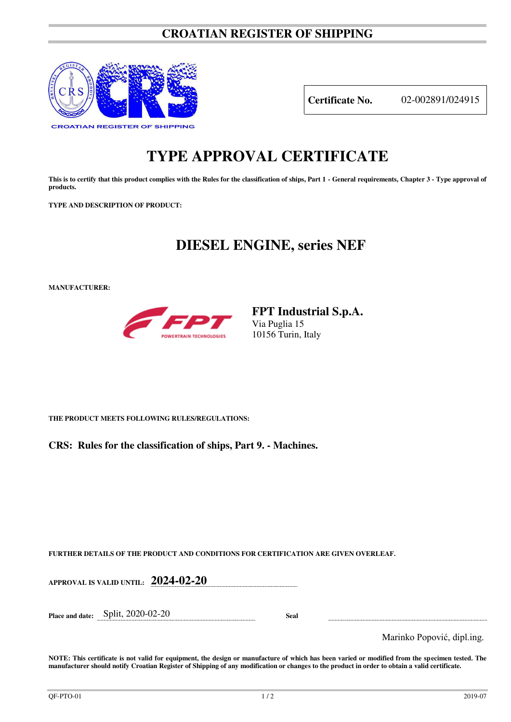### **CROATIAN REGISTER OF SHIPPING**



**Certificate No.** 02-002891/024915

# **TYPE APPROVAL CERTIFICATE**

This is to certify that this product complies with the Rules for the classification of ships, Part 1 - General requirements, Chapter 3 - Type approval of **products.** 

**TYPE AND DESCRIPTION OF PRODUCT:** 

## **DIESEL ENGINE, series NEF**

**MANUFACTURER:**



**FPT Industrial S.p.A.**  Via Puglia 15 10156 Turin, Italy

**THE PRODUCT MEETS FOLLOWING RULES/REGULATIONS:**

**CRS: Rules for the classification of ships, Part 9. - Machines.**

**FURTHER DETAILS OF THE PRODUCT AND CONDITIONS FOR CERTIFICATION ARE GIVEN OVERLEAF.**

**APPROVAL IS VALID UNTIL: 2024-02-20 Place and date:** Split, 2020-02-20 **Seal**  Marinko Popović, dipl.ing.

**NOTE: This certificate is not valid for equipment, the design or manufacture of which has been varied or modified from the specimen tested. The manufacturer should notify Croatian Register of Shipping of any modification or changes to the product in order to obtain a valid certificate.**